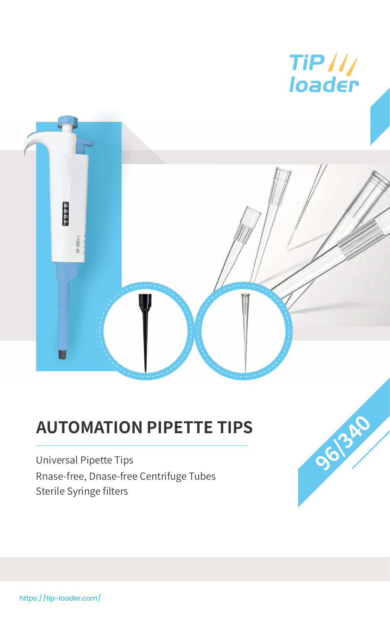https://tip-loader.com/



# **AUTOMATION PIPETTE TIPS**

Universal Pipette Tips Rnase-free, Dnase-free Centrifuge Tubes Sterile Syringe filters

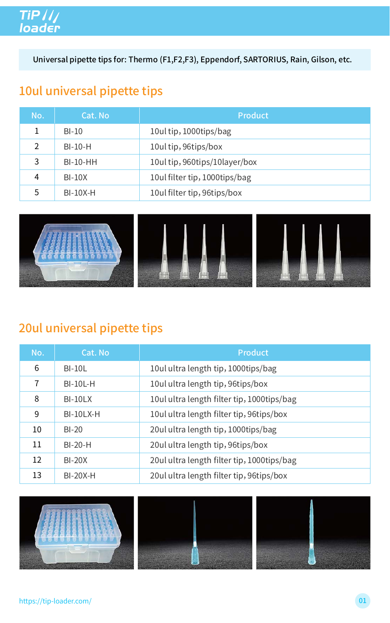### 10ul universal pipette tips

| No.            | Cat. No    | <b>Product</b>                |
|----------------|------------|-------------------------------|
|                | $BI-10$    | 10ul tip, 1000tips/bag        |
| $\overline{2}$ | $BI-10-H$  | 10ul tip, 96tips/box          |
| 3              | $BI-10-HH$ | 10ul tip, 960tips/10layer/box |
| 4              | $BI-10X$   | 10ul filter tip, 1000tips/bag |
| 5              | $BI-10X-H$ | 10ul filter tip, 96tips/box   |



#### 20ul universal pipette tips

| No.            | Cat. No         | <b>Product</b>                             |  |
|----------------|-----------------|--------------------------------------------|--|
| 6              | $BI-10L$        | 10ul ultra length tip, 1000tips/bag        |  |
| $\overline{7}$ | $BI-10L-H$      | 10ul ultra length tip, 96tips/box          |  |
| 8              | $BI-10LX$       | 10ul ultra length filter tip, 1000tips/bag |  |
| 9              | $BI-10LX-H$     | 10ul ultra length filter tip, 96tips/box   |  |
| 10             | $BI-20$         | 20ul ultra length tip, 1000tips/bag        |  |
| 11             | $BI-20-H$       | 20ul ultra length tip, 96tips/box          |  |
| 12             | <b>BI-20X</b>   | 20ul ultra length filter tip, 1000tips/bag |  |
| 13             | <b>BI-20X-H</b> | 20ul ultra length filter tip, 96tips/box   |  |



# TiP ///<br>loader

Universal pipette tips for: Thermo (F1,F2,F3), Eppendorf, SARTORIUS, Rain, Gilson, etc.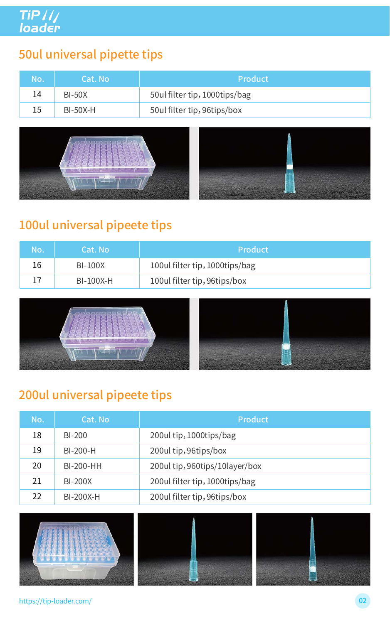### 200ul universal pipeete tips

| No. | Cat. No          | <b>Product</b>                   |
|-----|------------------|----------------------------------|
| 18  | <b>BI-200</b>    | 200ul tip, 1000tips/bag          |
| 19  | $BI-200-H$       | 200ul tip, 96tips/box            |
| 20  | <b>BI-200-HH</b> | 200 ultip, 960 tips/10 layer/box |
| 21  | <b>BI-200X</b>   | 200ul filter tip, 1000tips/bag   |
| 22  | <b>BI-200X-H</b> | 200 ul filter tip, 96tips/box    |



#### https://tip-loader.com/ 02

#### 50ul universal pipette tips

| No. | Cat. No       | Product                       |
|-----|---------------|-------------------------------|
| 14  | <b>BI-50X</b> | 50ul filter tip, 1000tips/bag |
| 15  | $BI-50X-H$    | 50ul filter tip, 96tips/box   |



#### 100ul universal pipeete tips

| No. | Cat. No        | <b>Product</b>                 |  |
|-----|----------------|--------------------------------|--|
| 16  | <b>BI-100X</b> | 100ul filter tip, 1000tips/bag |  |
|     | BI-100X-H      | 100ul filter tip, 96tips/box   |  |

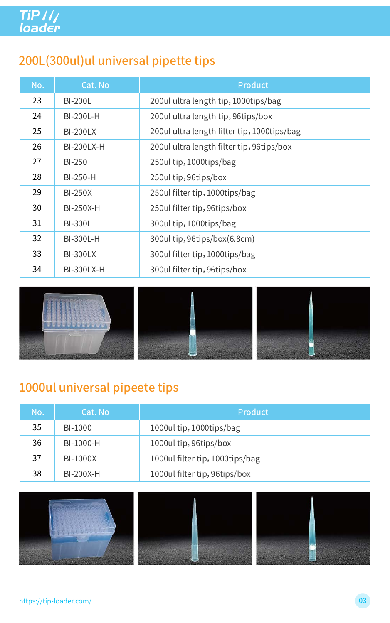#### 1000ul universal pipeete tips

| No. | Cat. No!       | Product                  |
|-----|----------------|--------------------------|
| 35  | <b>BI-1000</b> | 1000ul tip, 1000tips/bag |

| 36 | BI-1000-H       | 1000ul tip, 96tips/box          |
|----|-----------------|---------------------------------|
|    | <b>BI-1000X</b> | 1000ul filter tip, 1000tips/bag |
| 38 | BI-200X-H       | 1000ul filter tip, 96tips/box   |



#### https://tip-loader.com/ 03

## 200L(300ul)ul universal pipette tips

| No. | Cat. No           | <b>Product</b>                              |  |
|-----|-------------------|---------------------------------------------|--|
| 23  | <b>BI-200L</b>    | 200ul ultra length tip, 1000tips/bag        |  |
| 24  | <b>BI-200L-H</b>  | 200ul ultra length tip, 96tips/box          |  |
| 25  | <b>BI-200LX</b>   | 200ul ultra length filter tip, 1000tips/bag |  |
| 26  | <b>BI-200LX-H</b> | 200 ultra length filter tip, 96tips/box     |  |
| 27  | <b>BI-250</b>     | 250ul tip, 1000tips/bag                     |  |
| 28  | <b>BI-250-H</b>   | 250ul tip, 96tips/box                       |  |
| 29  | <b>BI-250X</b>    | 250 ul filter tip, 1000 tips/bag            |  |
| 30  | <b>BI-250X-H</b>  | 250ul filter tip, 96tips/box                |  |
| 31  | <b>BI-300L</b>    | 300ul tip, 1000tips/bag                     |  |
| 32  | <b>BI-300L-H</b>  | 300ul tip, 96tips/box(6.8cm)                |  |
| 33  | <b>BI-300LX</b>   | 300ul filter tip, 1000tips/bag              |  |
| 34  | <b>BI-300LX-H</b> | 300ul filter tip, 96tips/box                |  |

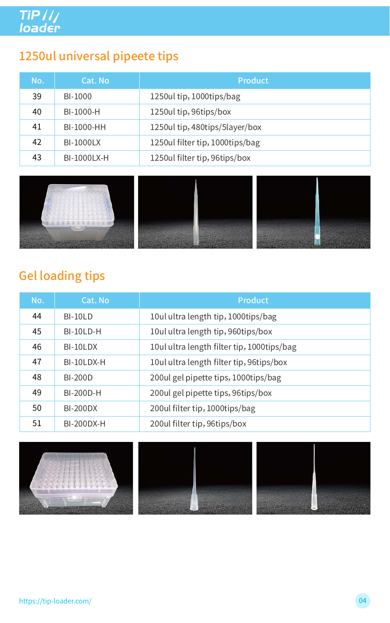#### Gel loading tips

| No. | Cat. No           | <b>Product</b>                             |  |
|-----|-------------------|--------------------------------------------|--|
| 44  | $BI-10LD$         | 10ul ultra length tip, 1000tips/bag        |  |
| 45  | BI-10LD-H         | 10ul ultra length tip, 960tips/box         |  |
| 46  | BI-10LDX          | 10ul ultra length filter tip, 1000tips/bag |  |
| 47  | BI-10LDX-H        | 10ul ultra length filter tip, 96tips/box   |  |
| 48  | <b>BI-200D</b>    | 200ul gel pipette tips, 1000tips/bag       |  |
| 49  | <b>BI-200D-H</b>  | 200ul gel pipette tips, 96tips/box         |  |
| 50  | <b>BI-200DX</b>   | 200ul filter tip, 1000tips/bag             |  |
| 51  | <b>BI-200DX-H</b> | 200ul filter tip, 96tips/box               |  |



https://tip-loader.com/ 04

### 1250ul universal pipeete tips

| No. | Cat. No            | <b>Product</b>                    |
|-----|--------------------|-----------------------------------|
| 39  | BI-1000            | 1250 ultip, 1000 tips/bag         |
| 40  | BI-1000-H          | 1250 ultip, 96tips/box            |
| 41  | BI-1000-HH         | 1250ul tip, 480tips/5layer/box    |
| 42  | <b>BI-1000LX</b>   | 1250 ul filter tip, 1000 tips/bag |
| 43  | <b>BI-1000LX-H</b> | 1250 ul filter tip, 96tips/box    |

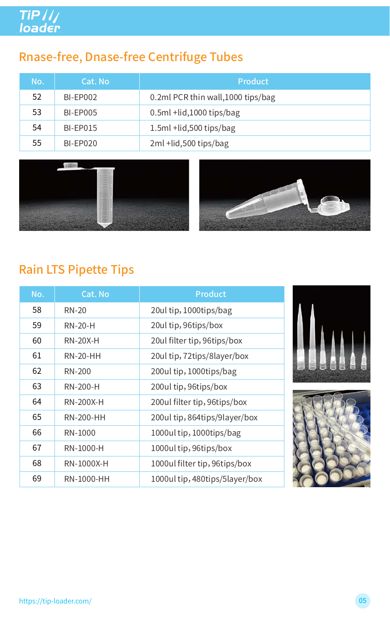## Rnase-free, Dnase-free Centrifuge Tubes

| No. | Cat. No         | <b>Product</b>                     |
|-----|-----------------|------------------------------------|
| 52  | <b>BI-EP002</b> | 0.2ml PCR thin wall, 1000 tips/bag |
| 53  | <b>BI-EP005</b> | $0.5ml + lid,1000 tips/bag$        |
| 54  | <b>BI-EP015</b> | 1.5ml +lid, 500 tips/bag           |
| 55  | <b>BI-EP020</b> | 2ml +lid,500 tips/bag              |





#### Rain LTS Pipette Tips

| No. | <b>Cat. No</b>    | <b>Product</b>                 |  |
|-----|-------------------|--------------------------------|--|
| 58  | <b>RN-20</b>      | 20ul tip, 1000tips/bag         |  |
| 59  | <b>RN-20-H</b>    | 20ul tip, 96tips/box           |  |
| 60  | <b>RN-20X-H</b>   | 20ul filter tip, 96tips/box    |  |
| 61  | <b>RN-20-HH</b>   | 20ul tip, 72tips/8layer/box    |  |
| 62  | <b>RN-200</b>     | 200ul tip, 1000tips/bag        |  |
| 63  | <b>RN-200-H</b>   | 200ul tip, 96tips/box          |  |
| 64  | <b>RN-200X-H</b>  | 200ul filter tip, 96tips/box   |  |
| 65  | <b>RN-200-HH</b>  | 200ul tip, 864tips/9layer/box  |  |
| 66  | <b>RN-1000</b>    | 1000ul tip, 1000tips/bag       |  |
| 67  | <b>RN-1000-H</b>  | 1000ul tip, 96tips/box         |  |
| 68  | <b>RN-1000X-H</b> | 1000ul filter tip, 96tips/box  |  |
| 69  | <b>RN-1000-HH</b> | 1000ul tip, 480tips/5layer/box |  |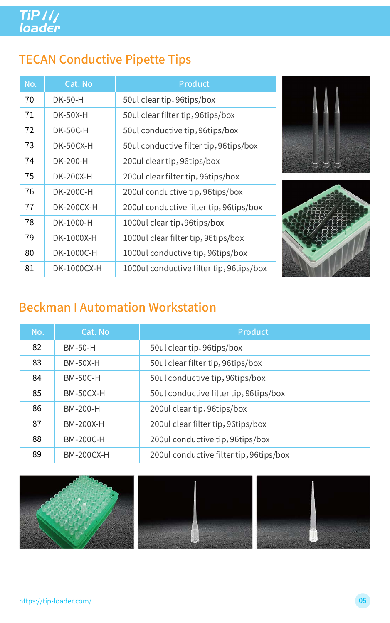### Beckman I Automation Workstation

| No. | Cat. No           | <b>Product</b>                           |
|-----|-------------------|------------------------------------------|
| 82  | <b>BM-50-H</b>    | 50 ul clear tip, 96 tips/box             |
| 83  | <b>BM-50X-H</b>   | 50ul clear filter tip, 96tips/box        |
| 84  | <b>BM-50C-H</b>   | 50ul conductive tip, 96tips/box          |
| 85  | <b>BM-50CX-H</b>  | 50ul conductive filter tip, 96tips/box   |
| 86  | <b>BM-200-H</b>   | 200ul clear tip, 96tips/box              |
| 87  | <b>BM-200X-H</b>  | 200ul clear filter tip, 96tips/box       |
| 88  | <b>BM-200C-H</b>  | 200ul conductive tip, 96tips/box         |
| 89  | <b>BM-200CX-H</b> | 200 ul conductive filter tip, 96tips/box |



https://tip-loader.com/ 05

## TECAN Conductive Pipette Tips

| No. | <b>Cat. No</b>     | <b>Product</b>                           |
|-----|--------------------|------------------------------------------|
| 70  | <b>DK-50-H</b>     | 50ul clear tip, 96tips/box               |
| 71  | <b>DK-50X-H</b>    | 50ul clear filter tip, 96tips/box        |
| 72  | <b>DK-50C-H</b>    | 50ul conductive tip, 96tips/box          |
| 73  | DK-50CX-H          | 50ul conductive filter tip, 96tips/box   |
| 74  | <b>DK-200-H</b>    | 200ul clear tip, 96tips/box              |
| 75  | <b>DK-200X-H</b>   | 200ul clear filter tip, 96tips/box       |
| 76  | <b>DK-200C-H</b>   | 200ul conductive tip, 96tips/box         |
| 77  | <b>DK-200CX-H</b>  | 200 ul conductive filter tip, 96tips/box |
| 78  | DK-1000-H          | 1000ul clear tip, 96tips/box             |
| 79  | DK-1000X-H         | 1000ul clear filter tip, 96tips/box      |
| 80  | DK-1000C-H         | 1000ul conductive tip, 96tips/box        |
| 81  | <b>DK-1000CX-H</b> | 1000ul conductive filter tip, 96tips/box |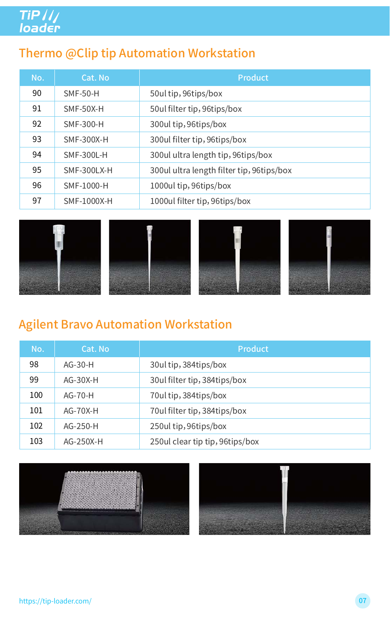# TiP ///<br>loader

#### Thermo @Clip tip Automation Workstation

| No. | Cat. No            | <b>Product</b>                            |
|-----|--------------------|-------------------------------------------|
| 90  | <b>SMF-50-H</b>    | 50ul tip, 96tips/box                      |
| 91  | SMF-50X-H          | 50 ul filter tip, 96 tips/box             |
| 92  | <b>SMF-300-H</b>   | 300ul tip, 96tips/box                     |
| 93  | <b>SMF-300X-H</b>  | 300ul filter tip, 96tips/box              |
| 94  | <b>SMF-300L-H</b>  | 300ul ultra length tip, 96tips/box        |
| 95  | SMF-300LX-H        | 300ul ultra length filter tip, 96tips/box |
| 96  | <b>SMF-1000-H</b>  | 1000ul tip, 96tips/box                    |
| 97  | <b>SMF-1000X-H</b> | 1000ul filter tip, 96tips/box             |



#### Agilent Bravo Automation Workstation



| No. | Cat. No     | <b>Product</b>                  |
|-----|-------------|---------------------------------|
| 98  | $AG-30-H$   | 30ul tip, 384tips/box           |
| 99  | $AG-30X-H$  | 30ul filter tip, 384tips/box    |
| 100 | $AG-70-H$   | 70 ultip, 384 tips/box          |
| 101 | $AG-70X-H$  | 70 ul filter tip, 384 tips/box  |
| 102 | $AG-250-H$  | 250ul tip, 96tips/box           |
| 103 | $AG-250X-H$ | 250ul clear tip tip, 96tips/box |

#### 250ul clear tip tip,96tips/box



#### https://tip-loader.com/ 07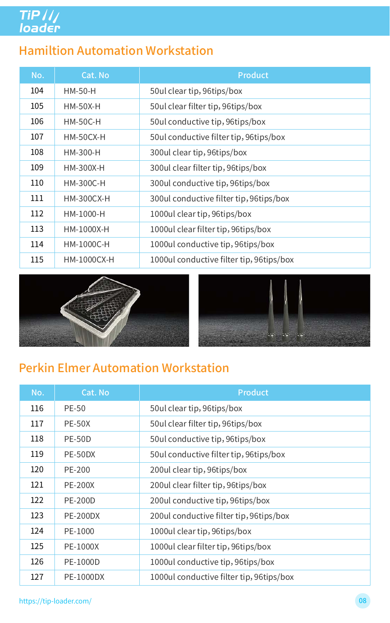# TiP ///<br>loader

#### Hamiltion Automation Workstation

| No. | Cat. No            | <b>Product</b>                           |
|-----|--------------------|------------------------------------------|
| 104 | $HM-50-H$          | 50 ul clear tip, 96 tips/box             |
| 105 | $HM-50X-H$         | 50ul clear filter tip, 96tips/box        |
| 106 | <b>HM-50C-H</b>    | 50ul conductive tip, 96tips/box          |
| 107 | <b>HM-50CX-H</b>   | 50ul conductive filter tip, 96tips/box   |
| 108 | <b>HM-300-H</b>    | 300ul clear tip, 96tips/box              |
| 109 | <b>HM-300X-H</b>   | 300ul clear filter tip, 96tips/box       |
| 110 | <b>HM-300C-H</b>   | 300ul conductive tip, 96tips/box         |
| 111 | <b>HM-300CX-H</b>  | 300ul conductive filter tip, 96tips/box  |
| 112 | HM-1000-H          | 1000ul clear tip, 96tips/box             |
| 113 | HM-1000X-H         | 1000ul clear filter tip, 96tips/box      |
| 114 | <b>HM-1000C-H</b>  | 1000ul conductive tip, 96tips/box        |
| 115 | <b>HM-1000CX-H</b> | 1000ul conductive filter tip, 96tips/box |





#### Perkin Elmer Automation Workstation

| No. | <b>Cat. No</b>   | <b>Product</b>                           |
|-----|------------------|------------------------------------------|
| 116 | <b>PE-50</b>     | 50 ul clear tip, 96 tips/box             |
| 117 | <b>PE-50X</b>    | 50ul clear filter tip, 96tips/box        |
| 118 | <b>PE-50D</b>    | 50ul conductive tip, 96tips/box          |
| 119 | PE-50DX          | 50ul conductive filter tip, 96tips/box   |
| 120 | <b>PE-200</b>    | 200ul clear tip, 96tips/box              |
| 121 | <b>PE-200X</b>   | 200ul clear filter tip, 96tips/box       |
| 122 | <b>PE-200D</b>   | 200ul conductive tip, 96tips/box         |
| 123 | <b>PE-200DX</b>  | 200 ul conductive filter tip, 96tips/box |
| 124 | PE-1000          | 1000ul clear tip, 96tips/box             |
| 125 | <b>PE-1000X</b>  | 1000ul clear filter tip, 96tips/box      |
| 126 | <b>PE-1000D</b>  | 1000ul conductive tip, 96tips/box        |
| 127 | <b>PE-1000DX</b> | 1000ul conductive filter tip, 96tips/box |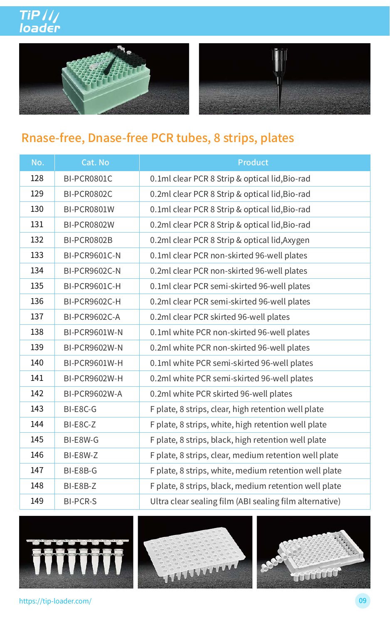





#### Rnase-free, Dnase-free PCR tubes, 8 strips, plates

| No. | Cat. No              | <b>Product</b>                                          |
|-----|----------------------|---------------------------------------------------------|
| 128 | BI-PCR0801C          | 0.1ml clear PCR 8 Strip & optical lid, Bio-rad          |
| 129 | <b>BI-PCR0802C</b>   | 0.2ml clear PCR 8 Strip & optical lid, Bio-rad          |
| 130 | BI-PCR0801W          | 0.1ml clear PCR 8 Strip & optical lid, Bio-rad          |
| 131 | <b>BI-PCR0802W</b>   | 0.2ml clear PCR 8 Strip & optical lid, Bio-rad          |
| 132 | <b>BI-PCR0802B</b>   | 0.2ml clear PCR 8 Strip & optical lid, Axygen           |
| 133 | <b>BI-PCR9601C-N</b> | 0.1 ml clear PCR non-skirted 96-well plates             |
| 134 | <b>BI-PCR9602C-N</b> | 0.2ml clear PCR non-skirted 96-well plates              |
| 135 | BI-PCR9601C-H        | 0.1ml clear PCR semi-skirted 96-well plates             |
| 136 | <b>BI-PCR9602C-H</b> | 0.2ml clear PCR semi-skirted 96-well plates             |
| 137 | <b>BI-PCR9602C-A</b> | 0.2ml clear PCR skirted 96-well plates                  |
| 138 | <b>BI-PCR9601W-N</b> | 0.1ml white PCR non-skirted 96-well plates              |
| 139 | <b>BI-PCR9602W-N</b> | 0.2ml white PCR non-skirted 96-well plates              |
| 140 | BI-PCR9601W-H        | 0.1ml white PCR semi-skirted 96-well plates             |
| 141 | <b>BI-PCR9602W-H</b> | 0.2ml white PCR semi-skirted 96-well plates             |
| 142 | <b>BI-PCR9602W-A</b> | 0.2ml white PCR skirted 96-well plates                  |
| 143 | BI-E8C-G             | F plate, 8 strips, clear, high retention well plate     |
| 144 | BI-E8C-Z             | F plate, 8 strips, white, high retention well plate     |
| 145 | BI-E8W-G             | F plate, 8 strips, black, high retention well plate     |
| 146 | BI-E8W-Z             | F plate, 8 strips, clear, medium retention well plate   |
| 147 | BI-E8B-G             | F plate, 8 strips, white, medium retention well plate   |
| 148 | BI-E8B-Z             | F plate, 8 strips, black, medium retention well plate   |
| 149 | <b>BI-PCR-S</b>      | Ultra clear sealing film (ABI sealing film alternative) |



https://tip-loader.com/ 09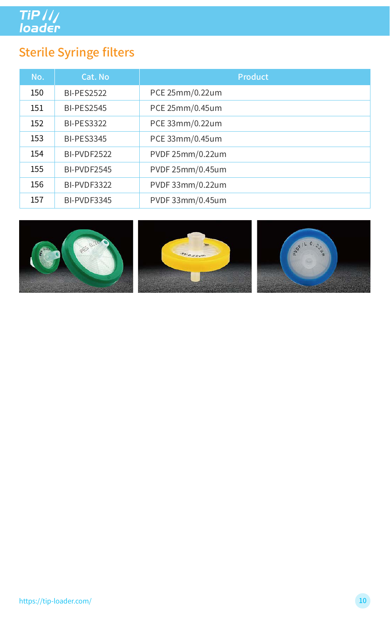TiP ///<br>loader

## Sterile Syringe filters

| No. | Cat. No           | <b>Product</b>   |
|-----|-------------------|------------------|
| 150 | <b>BI-PES2522</b> | PCE 25mm/0.22um  |
| 151 | <b>BI-PES2545</b> | PCE 25mm/0.45um  |
| 152 | <b>BI-PES3322</b> | PCE 33mm/0.22um  |
| 153 | <b>BI-PES3345</b> | PCE 33mm/0.45um  |
| 154 | BI-PVDF2522       | PVDF 25mm/0.22um |
| 155 | BI-PVDF2545       | PVDF 25mm/0.45um |
| 156 | BI-PVDF3322       | PVDF 33mm/0.22um |
| 157 | BI-PVDF3345       | PVDF 33mm/0.45um |







https://tip-loader.com/ 10